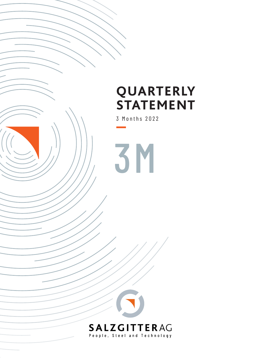# **QUARTERLY STATEMENT**

3 Months 2022

3M

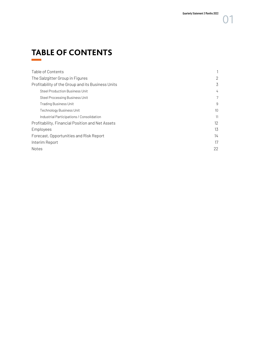# **TABLE OF CONTENTS**

| Table of Contents                                 |                 |
|---------------------------------------------------|-----------------|
| The Salzgitter Group in Figures                   | 2               |
| Profitability of the Group and its Business Units | 3               |
| Steel Production Business Unit                    | 4               |
| Steel Processing Business Unit                    | 7               |
| <b>Trading Business Unit</b>                      | 9               |
| <b>Technology Business Unit</b>                   | 10 <sup>1</sup> |
| Industrial Participations / Consolidation         | 11              |
| Profitability, Financial Position and Net Assets  | 12              |
| Employees                                         | 13              |
| Forecast, Opportunities and Risk Report           | 14              |
| Interim Report                                    | 17              |
| Notes                                             | 22              |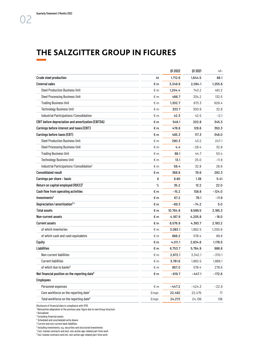## <span id="page-2-0"></span>**THE SALZGITTER GROUP IN FIGURES**

|                                                           |       | 01 20 22 | 01 20 21 | $+/-$    |
|-----------------------------------------------------------|-------|----------|----------|----------|
| <b>Crude steel production</b>                             | kt    | 1,712.6  | 1,644.5  | 68.1     |
| <b>External sales</b>                                     | €m    | 3,349.9  | 2,094.1  | 1,255.8  |
| <b>Steel Production Business Unit</b>                     | € m   | 1,204.4  | 743.2    | 461.2    |
| <b>Steel Processing Business Unit</b>                     | € m   | 466.7    | 334.2    | 132.5    |
| <b>Trading Business Unit</b>                              | € m   | 1,302.7  | 673.3    | 629.4    |
| <b>Technology Business Unit</b>                           | € m   | 333.7    | 300.9    | 32.8     |
| Industrial Participations / Consolidation                 | € m   | 42.3     | 42.5     | $-0.1$   |
| EBIT before depreciation and amortization (EBITDA)        | € m   | 548.1    | 202.8    | 345.3    |
| Earnings before interest and taxes (EBIT)                 | €m    | 478.8    | 128.6    | 350.3    |
| Earnings before taxes (EBT)                               | € m   | 465.3    | 117.3    | 348.0    |
| <b>Steel Production Business Unit</b>                     | € m   | 290.3    | 43.2     | 247.1    |
| <b>Steel Processing Business Unit</b>                     | € m   | 4.4      | $-28.4$  | 32.8     |
| <b>Trading Business Unit</b>                              | € m   | 98.1     | 44.7     | 53.4     |
| <b>Technology Business Unit</b>                           | € m   | 13.1     | 25.0     | $-11.9$  |
| Industrial Participations / Consolidation <sup>1</sup>    | € m   | 59.4     | 32.8     | 26.6     |
| <b>Consolidated result</b>                                | €m    | 368.8    | 76.6     | 292.3    |
| Earnings per share - basic                                | €     | 6.80     | 1.38     | 5.41     |
| Return on capital employed (ROCE) <sup>2</sup>            | %     | 35.2     | 13.2     | 22.0     |
| Cash flow from operating activities                       | €m    | $-15.2$  | 108.8    | $-124.0$ |
| Investments <sup>3</sup>                                  | €m    | 67.2     | 79.1     | $-11.9$  |
| Depreciation / amortization <sup>34</sup>                 | €m    | $-69.3$  | $-74.2$  | 5.0      |
| <b>Total assets</b>                                       | €m    | 10,764.8 | 8,599.5  | 2,165.3  |
| Non-current assets                                        | € m   | 4,187.9  | 4,205.8  | $-18.0$  |
| <b>Current assets</b>                                     | €m    | 6,576.9  | 4,393.7  | 2,183.2  |
| of which inventories                                      | € m   | 3,093.1  | 1,892.5  | 1,200.6  |
| of which cash and cash equivalents                        | € m   | 668.2    | 578.4    | 89.8     |
| <b>Equity</b>                                             | € m   | 4,011.1  | 2,834.6  | 1,176.5  |
| <b>Liabilities</b>                                        | €m    | 6,753.7  | 5,764.9  | 988.8    |
| Non-current liabilities                                   | € m   | 2,972.1  | 3,342.1  | $-370.1$ |
| <b>Current liabilities</b>                                | €m    | 3,781.6  | 1,892.5  | 1,889.1  |
| of which due to banks <sup>5</sup>                        | € m   | 857.0    | 578.4    | 278.6    |
| Net financial position on the reporting date <sup>6</sup> | €m    | $-619.7$ | -447.1   | -172.6   |
| <b>Employees</b>                                          |       |          |          |          |
| Personnel expenses                                        | € m   | $-447.2$ | $-424.3$ | $-22.9$  |
| Core workforce on the reporting date <sup>7</sup>         | Empl. | 22,492   | 22,475   | 17       |
| Total workforce on the reporting date <sup>8</sup>        | Empl. | 24,272   | 24,136   | 136      |
|                                                           |       |          |          |          |

Disclosure of financial data in compliance with IFRS

<sup>1</sup> Retroactive adaptation of the previous year figure due to new Group structure

2 Annualized

3 Excluding financial assets

4 Scheduled and unscheduled write downs

5 Current and non-current bank liabilities

<sup>6</sup> Including investments, e.g. securities and structured investments<br><sup>7</sup> Exel, trainee centrasts and axel, non-astive age-related part-time

 $\frac{1}{2}$  Excl. trainee contracts and excl. non-active age-related part-time work

<sup>8</sup> Incl. trainee contracts and incl. non-active age-related part-time work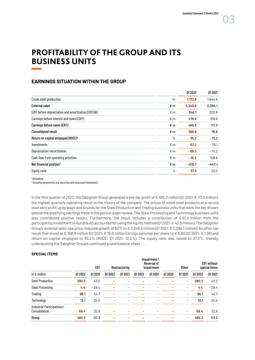### <span id="page-3-0"></span>**PROFITABILITY OF THE GROUP AND ITS BUSINESS UNITS**

#### **EARNINGS SITUATION WITHIN THE GROUP**

| Crude steel production<br>kt<br>1,712.6<br><b>External sales</b><br>€m<br>3,349.9<br>EBIT before depreciation and amortization (EBITDA)<br>$\epsilon$ m<br>548.1<br>Earnings before interest and taxes (EBIT)<br>$\epsilon$ m<br>478.8<br>Earnings before taxes (EBT)<br>€m<br>465.3<br><b>Consolidated result</b><br>€m<br>368.8<br>Return on capital employed (ROCE) <sup>1</sup><br>%<br>35.2 | 01 20 21 |
|--------------------------------------------------------------------------------------------------------------------------------------------------------------------------------------------------------------------------------------------------------------------------------------------------------------------------------------------------------------------------------------------------|----------|
|                                                                                                                                                                                                                                                                                                                                                                                                  | 1,644.5  |
|                                                                                                                                                                                                                                                                                                                                                                                                  | 2,094.1  |
|                                                                                                                                                                                                                                                                                                                                                                                                  | 202.8    |
|                                                                                                                                                                                                                                                                                                                                                                                                  | 128.6    |
|                                                                                                                                                                                                                                                                                                                                                                                                  | 117.3    |
|                                                                                                                                                                                                                                                                                                                                                                                                  | 76.6     |
|                                                                                                                                                                                                                                                                                                                                                                                                  | 13.2     |
| Investments<br>$\epsilon$ m<br>67.2                                                                                                                                                                                                                                                                                                                                                              | 79.1     |
| Depreciation/amortization<br>$\epsilon$ m<br>$-69.3$                                                                                                                                                                                                                                                                                                                                             | $-74.2$  |
| Cash flow from operating activities<br>€m<br>$-15.2$                                                                                                                                                                                                                                                                                                                                             | 108.8    |
| Net financial position <sup>2</sup><br>€m<br>$-619.7$                                                                                                                                                                                                                                                                                                                                            | $-447.1$ |
| Equity ratio<br>$\%$<br>37.3                                                                                                                                                                                                                                                                                                                                                                     | 33.0     |

1 Annualized

<sup>2</sup> Including investments, e.g. securities and structured investments

In the first quarter of 2022, the Salzgitter Group generated a pre-tax profit of € 465.3 million (Q1 2021: € 117.3 million), the highest quarterly operating result in the history of the company. The prices of rolled steel products at a record level sent profit up by leaps and bounds for the Steel Production and Trading business units that were the key drivers behind the gratifying earnings trend in the period under review. The Steel Processing and Technology business units also contributed positive results. Furthermore, the result includes a contribution of  $\epsilon$  61.9 million from the participating investment in Aurubis AG accounted for using the equity method (01 2021:  $\epsilon$  42.5 million). The Salzgitter Group's external sales saw price-induced growth of 60% to € 3,349.9 million (Q1 2021: € 2,094.1 million). An after-tax result that stood at € 368.8 million (Q1 2021: € 76.6 million) brings earnings per share to € 6.80 (Q1 2021: € 1.38) and return on capital employed to 35.2% (ROCE; Q1 2021: 13.2%). The equity ratio was raised to 37.3%, thereby underscoring the Salzgitter Group's continued sound balance sheet.

#### **SPECIAL ITEMS**

|                                             |        | EBT      |          | Restructuring |          | Impairment/<br>Reversal of<br>impairment |          | Other                    |          | <b>EBT</b> without<br>special items |
|---------------------------------------------|--------|----------|----------|---------------|----------|------------------------------------------|----------|--------------------------|----------|-------------------------------------|
| In $\epsilon$ million                       | 012022 | 01 20 21 | 01 20 22 | 01 20 21      | 01 20 22 | 01 20 21                                 | 01 20 22 | 01 20 21                 | 01 20 22 | 01 20 21                            |
| <b>Steel Production</b>                     | 290.3  | 43.2     |          |               |          |                                          |          | $\overline{\phantom{m}}$ | 290.3    | 43.2                                |
| <b>Steel Processing</b>                     | 4.4    | $-28.4$  |          |               |          |                                          |          |                          | 4.4      | $-28.4$                             |
| Trading                                     | 98.1   | 44.7     |          |               |          |                                          |          | $\qquad \qquad$          | 98.1     | 44.7                                |
| Technology                                  | 13.1   | 25.0     |          |               |          |                                          |          |                          | 13.1     | 25.0                                |
| Industrial Participations/<br>Consolidation | 59.4   | 32.8     |          |               |          |                                          |          | $\qquad \qquad$          | 59.4     | 32.8                                |
| Group                                       | 465.3  | 117.3    |          |               |          |                                          |          | $\qquad \qquad$          | 465.3    | 117.3                               |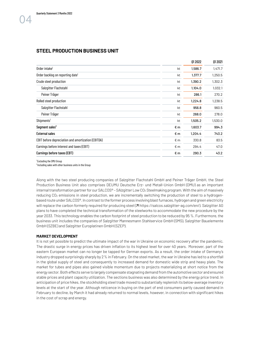#### <span id="page-4-0"></span>**STEEL PRODUCTION BUSINESS UNIT**

|                                                    |              | 01 20 22 | 01 20 21 |
|----------------------------------------------------|--------------|----------|----------|
| Order intake <sup>1</sup>                          | kt           | 1,586.7  | 1,471.7  |
| Order backlog on reporting date <sup>1</sup>       | kt           | 1,377.7  | 1,250.5  |
| Crude steel production                             | kt           | 1,390.2  | 1,302.3  |
| Salzgitter Flachstahl                              | kt           | 1,104.0  | 1,032.1  |
| Peiner Träger                                      | kt           | 286.1    | 270.2    |
| Rolled steel production                            | kt           | 1,224.8  | 1,238.5  |
| Salzgitter Flachstahl                              | kt           | 956.8    | 960.5    |
| Peiner Träger                                      | kt           | 268.0    | 278.0    |
| Shipments <sup>1</sup>                             | kt           | 1,505.2  | 1,530.0  |
| Segment sales <sup>2</sup>                         | €m           | 1,603.7  | 994.3    |
| <b>External sales</b>                              | €m           | 1,204.4  | 743.2    |
| EBIT before depreciation and amortization (EBITDA) | $E$ m        | 330.8    | 83.5     |
| Earnings before interest and taxes (EBIT)          | $\epsilon$ m | 294.4    | 47.0     |
| Earnings before taxes (EBT)                        | €m           | 290.3    | 43.2     |
|                                                    |              |          |          |

1 Excluding the DMU Group

<sup>2</sup> Including sales with other business units in the Group

Along with the two steel producing companies of Salzgitter Flachstahl GmbH and Peiner Träger GmbH, the Steel Production Business Unit also comprises DEUMU Deutsche Erz- und Metall-Union GmbH (DMU) as an important internal transformation partner for our SALCOS® - SAlzgitter Low CO<sub>2</sub> Steelmaking program. With the aim of massively reducing CO<sub>2</sub> emissions in steel production, we are incrementally switching the production of steel to a hydrogenbased route under SALCOS®. In contrast to the former process involving blast furnaces, hydrogen and green electricity will replace the carbon formerly required for producing steel ( $\pi$  https://salcos.salzgitter-ag.com/en/). Salzgitter AG plans to have completed the technical transformation of the steelworks to accommodate the new procedure by the year 2033. This technology enables the carbon footprint of steel production to be reduced by 95 %. Furthermore, the business unit includes the companies of Salzgitter Mannesmann Stahlservice GmbH (SMS), Salzgitter Bauelemente GmbH (SZBE) and Salzgitter Europlatinen GmbH (SZEP).

#### **MARKET DEVELOPMENT**

It is not yet possible to predict the ultimate impact of the war in Ukraine on economic recovery after the pandemic. The drastic surge in energy prices has driven inflation to its highest level for over 40 years. Moreover, part of the eastern European market can no longer be tapped for German exports. As a result, the order intake of Germany's industry dropped surprisingly sharply by 2% in February. On the steel market, the war in Ukraine has led to a shortfall in the global supply of steel and consequently to increased demand for domestic wide strip and heavy plate. The market for tubes and pipes also gained visible momentum due to projects materializing at short notice from the energy sector. Both effects serve to largely compensate stagnating demand from the automotive sector and ensured stable prices and plant capacity utilization. The sections business was also determined by the energy price trend. In anticipation of price hikes, the stockholding steel trade moved to substantially replenish its below-average inventory levels at the start of the year. Although reticence in buying on the part of end consumers partly caused demand in February to decline, by March it had already returned to normal levels, however, in connection with significant hikes in the cost of scrap and energy.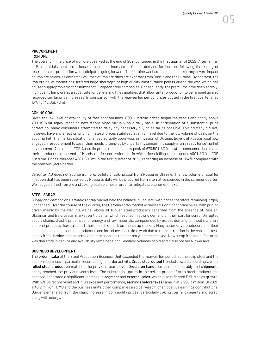#### **PROCUREMENT**  IRON ORE

The uptrend in the price of iron ore observed at the end of 2021 continued in the first quarter of 2022. After rainfall in Brazil initially sent ore prices up, a notable increase in China's demand for iron ore following the easing of restrictions on production was anticipated going forward. The Ukraine war has so far not incurred any severe impact on iron ore prices, as only small volumes of iron ore fines are exported from Russia and the Ukraine. By contrast, the iron ore pellet market has suffered huge shortages of high quality blast furnace pellets due to the war, which has caused supply problems for a number of European steel companies. Consequently, the premiums have risen sharply; high quality lump ore as a substitute for pellets and fines qualities that allow sinter production to be ramped up also recorded similar price increases. In comparison with the year-earlier period, prices quoted in the first quarter shed 15% to 142 USD/dmt.

#### COKING COAL

Given the low level of availability of free spot volumes, FOB Australia prices began the year significantly above 400 USD/mt again, reaching new record highs virtually on a daily basis. In anticipation of a substantial price correction, many consumers attempted to delay any necessary buying as far as possible. This strategy did not, however, have any effect on pricing. Instead, prices stabilized at a high level due to the low volume of deals on the spot market. The market situation changed abruptly upon Russia's invasion of Ukraine. Buyers of Russian coal now engaged in procurement to cover their needs, prompted by uncertainty concerning supply in an already tense market environment. As a result, FOB Australia prices reached a new peak of 670.50 USD/mt. After consumers had made their purchases at the end of March, a price correction set in with prices falling to just under 400 USD/mt FOB Australia. Prices averaged 488 USD/mt in the first quarter of 2022, reflecting an increase of 284% compared with the previous year's period.

Salzgitter AG does not source iron ore, pellets or coking coal from Russia or Ukraine. The low volume of coal for injection that has been supplied by Russia to date will be procured from alternative sources in the summer quarter. We hedge defined iron ore and coking coal volumes in order to mitigate procurement risks.

#### STEEL SCRAP

Supply and demand on Germany's scrap market held the balance in January, with prices therefore remaining largely unchanged. Over the course of the quarter, the German scrap market witnessed significant price hikes, with pricing driven mainly by the war in Ukraine. Above all Turkish steel producers benefited from the absence of Russian, Ukrainian and Belorussian market participants, which resulted in strong demand on their part for scrap. Disrupted supply chains, drastic price rises for energy and raw materials, compounded by excess demand for input materials and end products, have also left their indelible mark on the scrap market. Many automotive producers and their suppliers had to cut back on production and introduce short-time work due to the interruption in the cable harness supply from Ukraine and the semiconductor shortage that has not yet been resolved. New scrap from manufacturing was therefore in decline and availability remained tight. Similarly, volumes of old scrap also posted a lower level.

#### **BUSINESS DEVELOPMENT**

The order intake of the Steel Production Business Unit exceeded the year-earlier period, as the strip steel and the sections business in particular recorded higher order activity. Crude steel output trended upward accordingly, while rolled steel production matched the previous year's level. Orders on hand also increased notably and shipments nearly reached the previous year's level. The substantial upturn in the selling prices of strip steel products and sections generated a significant increase in segment and external sales, which also reflected DMU's sales growth. With SZFG's record result and PTG's excellent performance, earnings before taxes came in at  $E$  290.3 million (012021: € 43.2 million). DMU and the business unit's other companies also delivered higher, positive earnings contributions. Burdens emanated from the sharp increase in commodity prices, particularly coking coal, alloy agents and scrap, along with energy.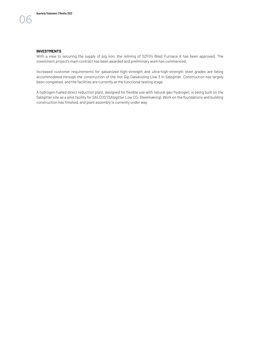With a view to securing the supply of pig iron, the relining of SZFG's Blast Furnace A has been approved. The investment project's main contract has been awarded and preliminary work has commenced.

Increased customer requirements for galvanized high-strength and ultra-high-strength steel grades are being accommodated through the construction of the Hot Dip Galvanizing Line 3 in Salzgitter. Construction has largely been completed, and the facilities are currently at the functional testing stage.

A hydrogen-fueled direct reduction plant, designed for flexible use with natural gas/hydrogen, is being built on the Salzgitter site as a pilot facility for SALCOS® (SAlzgitter Low CO2 Steelmaking). Work on the foundations and building construction has finished, and plant assembly is currently under way.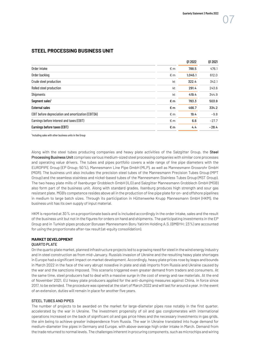|                                                    |              | 01 20 22 | 01 20 21 |
|----------------------------------------------------|--------------|----------|----------|
| Order intake                                       | $\epsilon$ m | 788.5    | 476.1    |
| Order backlog                                      | $\epsilon$ m | 1,045.1  | 612.0    |
| Crude steel production                             | kt           | 322.4    | 342.1    |
| Rolled steel production                            | kt           | 291.4    | 243.6    |
| <b>Shipments</b>                                   | kt           | 419.4    | 344.9    |
| Segment sales <sup>1</sup>                         | €m           | 783.3    | 503.9    |
| <b>External sales</b>                              | €m           | 466.7    | 334.2    |
| EBIT before depreciation and amortization (EBITDA) | $\epsilon$ m | 19.4     | $-9.8$   |
| Earnings before interest and taxes (EBIT)          | € m          | 6.6      | $-27.7$  |
| Earnings before taxes (EBT)                        | €m           | 4.4      | $-28.4$  |

#### <span id="page-7-0"></span>**STEEL PROCESSING BUSINESS UNIT**

<sup>1</sup> Including sales with other business units in the Group

Along with the steel tubes producing companies and heavy plate activities of the Salzgitter Group, the Steel Processing Business Unit comprises various medium-sized steel processing companies with similar core processes and operating value drivers. The tubes and pipes portfolio covers a wide range of line pipe diameters with the EUROPIPE Group (EP Group; 50%), Mannesmann Line Pipe GmbH (MLP), as well as Mannesmann Grossrohr GmbH (MGR). The business unit also includes the precision steel tubes of the Mannesmann Precision Tubes Group (MPT Group) and the seamless stainless and nickel-based tubes of the Mannesmann Stainless Tubes Group (MST Group). The two heavy plate mills of Ilsenburger Grobblech GmbH (ILG) and Salzgitter Mannesmann Grobblech GmbH (MGB) also form part of the business unit. Along with standard grades, Ilsenburg produces high strength and sour gas resistant plate. MGB's competence resides above all in the production of line pipe plate for on- and offshore pipelines in medium to large batch sizes. Through its participation in Hüttenwerke Krupp Mannesmann GmbH (HKM), the business unit has its own supply of input material.

HKM is reported at 30% on a proportionate basis and is included accordingly in the order intake, sales and the result of the business unit but not in the figures for orders on hand and shipments. The participating investments in the EP Group and in Turkish pipes producer Borusan Mannesmann Boru Yatirim Holding A.S. (BMBYH; 23%) are accounted for using the proportionate after-tax result (at-equity consolidation).

#### **MARKET DEVELOPMENT**  QUARTO PLATE

On the quarto plate market, planned infrastructure projects led to a growing need for steel in the wind energy industry and in steel construction as from mid-January. Russia's invasion of Ukraine and the resulting heavy plate shortages in Europe had a significant impact on market development. Accordingly, heavy plate prices rose by leaps and bounds in March 2022 in the face of the very abrupt nosedive in plate and slab imports from Russia and Ukraine caused by the war and the sanctions imposed. This scenario triggered even greater demand from traders and consumers. At the same time, steel producers had to deal with a massive surge in the cost of energy and raw materials. At the end of November 2021, EU heavy plate producers applied for the anti-dumping measures against China, in force since 2017, to be extended. The procedure was opened at the start of March 2022 and will last for around a year. In the event of an extension, duties will remain in place for another five years.

#### STEEL TUBES AND PIPES

The number of projects to be awarded on the market for large-diameter pipes rose notably in the first quarter, accelerated by the war in Ukraine. The investment propensity of oil and gas conglomerates with international operations increased on the back of significant oil and gas price hikes and the necessary investments in gas grids, the aim being to achieve greater independence from Russia. The war in Ukraine translated into huge demand for medium-diameter line pipes in Germany and Europe, with above-average high order intake in March. Demand from the trade returned to normal levels. The challenges inherent in procuring components, such as microchips and wiring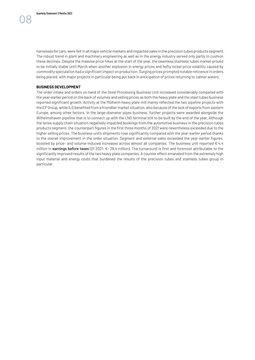harnesses for cars, were felt in all major vehicle markets and impacted sales in the precision tubes products segment. The robust trend in plant and machinery engineering as well as in the energy industry served only partly to cushion these declines. Despite the massive price hikes at the start of the year, the seamless stainless tubes market proved to be initially stable until March when another explosion in energy prices and hefty nickel price volatility caused by commodity speculation had a significant impact on production. Surging prices prompted notable reticence in orders being placed, with major projects in particular being put back in anticipation of prices returning to calmer waters.

#### **BUSINESS DEVELOPMENT**

The order intake and orders on hand of the Steel Processing Business Unit increased considerably compared with the year-earlier period on the back of volumes and selling prices as both the heavy plate and the steel tubes business reported significant growth. Activity at the Mülheim heavy plate mill mainly reflected the two pipeline projects with the EP Group, while ILG benefited from a friendlier market situation, also because of the lack of exports from eastern Europe, among other factors. In the large-diameter pipes business, further projects were awarded alongside the Wilhelmshaven pipeline that is to connect up with the LNG terminal still to be built by the end of the year. Although the tense supply chain situation negatively impacted bookings from the automotive business in the precision tubes products segment, the counterpart figures in the first three months of 2021 were nevertheless exceeded due to the higher selling prices. The business unit's shipments rose significantly compared with the year-earlier period thanks to the overall improvement in the order situation. Segment and external sales exceeded the year-earlier figures, boosted by price- and volume-induced increases across almost all companies. The business unit reported  $\epsilon$  4.4 million in earnings before taxes (01 2021: €-28.4 million). The turnaround is first and foremost attributable to the significantly improved results of the two heavy plate companies. A counter effect emanated from the extremely high input material and energy costs that burdened the results of the precision tubes and stainless tubes group in particular.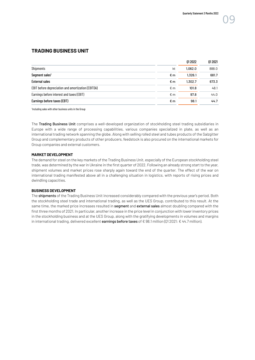#### <span id="page-9-0"></span>**TRADING BUSINESS UNIT**

|                                                    |     | 01 20 22 | 01 20 21 |
|----------------------------------------------------|-----|----------|----------|
| <b>Shipments</b>                                   | kt  | 1,062.0  | 888.0    |
| Segment sales <sup>1</sup>                         | €m  | 1,326.1  | 681.7    |
| <b>External sales</b>                              | €m  | 1,302.7  | 673.3    |
| EBIT before depreciation and amortization (EBITDA) | € m | 101.8    | 48.1     |
| Earnings before interest and taxes (EBIT)          | € m | 97.8     | 44.0     |
| Earnings before taxes (EBT)                        | €m  | 98.1     | 44.7     |

<sup>1</sup> Including sales with other business units in the Group

The Trading Business Unit comprises a well-developed organization of stockholding steel trading subsidiaries in Europe with a wide range of processing capabilities, various companies specialized in plate, as well as an international trading network spanning the globe. Along with selling rolled steel and tubes products of the Salzgitter Group and complementary products of other producers, feedstock is also procured on the international markets for Group companies and external customers.

#### **MARKET DEVELOPMENT**

The demand for steel on the key markets of the Trading Business Unit, especially of the European stockholding steel trade, was determined by the war in Ukraine in the first quarter of 2022. Following an already strong start to the year, shipment volumes and market prices rose sharply again toward the end of the quarter. The effect of the war on international trading manifested above all in a challenging situation in logistics, with reports of rising prices and dwindling capacities.

#### **BUSINESS DEVELOPMENT**

The shipments of the Trading Business Unit increased considerably compared with the previous year's period. Both the stockholding steel trade and international trading, as well as the UES Group, contributed to this result. At the same time, the marked price increases resulted in segment and external sales almost doubling compared with the first three months of 2021. In particular, another increase in the price level in conjunction with lower inventory prices in the stockholding business and at the UES Group, along with the gratifying developments in volumes and margins in international trading, delivered excellent earnings before taxes of €98.1 million (Q1 2021: €44.7 million).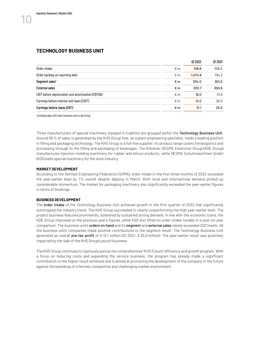#### <span id="page-10-0"></span>**TECHNOLOGY BUSINESS UNIT**

|                                                    |              | 01 20 22 | 01 20 21 |
|----------------------------------------------------|--------------|----------|----------|
| Order intake                                       | $\epsilon$ m | 518.6    | 358.0    |
| Order backlog on reporting date                    | $\epsilon$ m | 1,074.8  | 734.3    |
| Segment sales <sup>1</sup>                         | €m           | 334.0    | 301.0    |
| <b>External sales</b>                              | €m           | 333.7    | 300.9    |
| EBIT before depreciation and amortization (EBITDA) | $\epsilon$ m | 19.0     | 31.8     |
| Earnings before interest and taxes (EBIT)          | $\epsilon$ m | 12.0     | 25.3     |
| Earnings before taxes (EBT)                        | €m           | 13.1     | 25.0     |

<sup>1</sup> Including sales with other business units in the Group

Three manufacturers of special machinery steeped in tradition are grouped within the Technology Business Unit. Around 90% of sales is generated by the KHS Group that, as a plant engineering specialist, holds a leading position in filling and packaging technology. The KHS Group is a full-line supplier. Its product range covers intralogistics and processing through to the filling and packaging of beverages. The Klöckner DESMA Elastomer Group (KDE Group) manufactures injection molding machinery for rubber and silicon products, while DESMA Schuhmaschinen GmbH (KDS) sells special machinery for the shoe industry.

#### **MARKET DEVELOPMENT**

According to the German Engineering Federation (VDMA), order intake in the first three months of 2022 exceeded the year-earlier level by 7% overall despite dipping in March. Both local and international demand picked up considerable momentum. The market for packaging machinery also significantly exceeded the year-earlier figures in terms of bookings.

#### **BUSINESS DEVELOPMENT**

The order intake of the Technology Business Unit achieved growth in the first quarter of 2022 that significantly outstripped the industry trend. The KHS Group succeeded in clearly outperforming the high year-earlier level. The project business featured prominently, bolstered by sustained strong demand. In line with the economic trend, the KDE Group improved on the previous-year's figures, while KDS also lifted its order intake notably in a year-on-year comparison. The business unit's orders on hand and its segment and external sales clearly exceeded 2021 levels. All the business unit's companies made positive contributions to the segment result. The Technology Business Unit generated an overall pre-tax profit of €13.1 million (Q1 2021: € 25.0 million). The year-earlier result was positively impacted by the sale of the KHS Group's pouch business.

The KHS Group continues to rigorously pursue the comprehensive "KHS Future" efficiency and growth program. With a focus on reducing costs and expanding the service business, the program has already made a significant contribution to the higher result achieved and is aimed at promoting the development of the company in the future against the backdrop of a fiercely competitive and challenging market environment.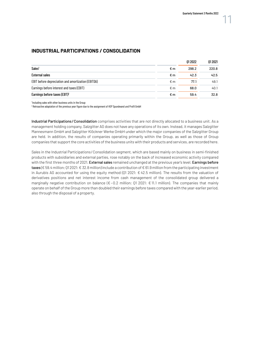#### <span id="page-11-0"></span>**INDUSTRIAL PARTICIPATIONS / CONSOLIDATION**

|                                                    |     | 01 20 22 | 01 20 21 |
|----------------------------------------------------|-----|----------|----------|
| Sales <sup>1</sup>                                 | €m  | 298.2    | 220.8    |
| External sales                                     | €m  | 42.3     | 42.5     |
| EBIT before depreciation and amortization (EBITDA) | € m | 77.1     | 49.1     |
| Earnings before interest and taxes (EBIT)          | € m | 68.0     | 40.1     |
| Earnings before taxes (EBT) <sup>2</sup>           | €m  | 59.4     | 32.8     |

<sup>1</sup> Including sales with other business units in the Group

 $^2$  Retroactive adaptation of the previous year figure due to the assignment of HSP Spundwand und Profil GmbH

Industrial Participations / Consolidation comprises activities that are not directly allocated to a business unit. As a management holding company, Salzgitter AG does not have any operations of its own. Instead, it manages Salzgitter Mannesmann GmbH and Salzgitter Klöckner Werke GmbH under which the major companies of the Salzgitter Group are held. In addition, the results of companies operating primarily within the Group, as well as those of Group companies that support the core activities of the business units with their products and services, are recorded here.

Sales in the Industrial Participations/Consolidation segment, which are based mainly on business in semi-finished products with subsidiaries and external parties, rose notably on the back of increased economic activity compared with the first three months of 2021. External sales remained unchanged at the previous year's level. Earnings before taxes (€ 59.4 million; 01 2021: € 32.8 million) include a contribution of € 61.9 million from the participating investment in Aurubis AG accounted for using the equity method (01 2021:  $\epsilon$  42.5 million). The results from the valuation of derivatives positions and net interest income from cash management of the consolidated group delivered a marginally negative contribution on balance ( $\epsilon$ -0.2 million; 01 2021:  $\epsilon$  11.1 million). The companies that mainly operate on behalf of the Group more than doubled their earnings before taxes compared with the year-earlier period, also through the disposal of a property.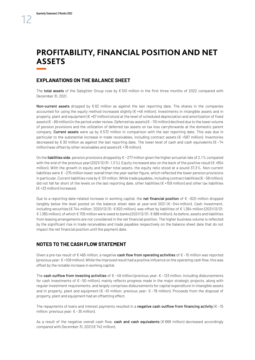### <span id="page-12-0"></span>**PROFITABILITY, FINANCIAL POSITION AND NET ASSETS**

#### **EXPLANATIONS ON THE BALANCE SHEET**

The total assets of the Salzgitter Group rose by € 510 million in the first three months of 2022 compared with December 31, 2021.

Non-current assets dropped by  $\epsilon$  62 million as against the last reporting date. The shares in the companies accounted for using the equity method increased slightly  $(E + 46$  million). Investments in intangible assets and in property, plant and equipment ( $\epsilon$  +67 million) stood at the level of scheduled depreciation and amortization of fixed assets (€ –69 million) in the period under review. Deferred tax assets (€ –110 million) declined due to the lower volume of pension provisions and the utilization of deferred tax assets on tax loss carryforwards at the domestic parent company. Current assets were up by € 572 million in comparison with the last reporting date. This was due in particular to the substantial increase in trade receivables, including contract assets (€ +587 million). Inventories decreased by € 30 million as against the last reporting date. The lower level of cash and cash equivalents (€-74 million) was offset by other receivables and assets ( $\epsilon$  +78 million).

On the liabilities side, pension provisions dropped by  $\epsilon$  –277 million given the higher actuarial rate of 2.1% compared with the end of the previous year (2021/12/31: 1.3%). Equity increased also on the back of the positive result ( $\epsilon$ +654 million). With the growth in equity and higher total assets, the equity ratio stood at a sound 37.3%. Non-current liabilities were € –275 million lower overall than the year-earlier figure, which reflected the lower pension provisions in particular. Current liabilities rose by € 131 million. While trade payables, including contract liabilities (€ –58 million), did not fall far short of the levels on the last reporting date, other liabilities ( $\epsilon$ +159 million) and other tax liabilities (€ +33 million) increased.

Due to a reporting-date-related increase in working capital, the net financial position of  $€$  -620 million dropped tangibly below the level posted on the balance sheet date at year-end 2021 ( $\epsilon$ -544 million). Cash investment, including securities (€ 744 million; 2020/12/31: € 820 million), was offset by liabilities of € 1,364 million (2021/12/31: € 1,365 million), of which € 705 million were owed to banks (2021/12/31: € 688 million). As before, assets and liabilities from leasing arrangements are not considered in the net financial position. The higher business volume is reflected by the significant rise in trade receivables and trade payables respectively on the balance sheet date that do not impact the net financial position until the payment date.

#### **NOTES TO THE CASH FLOW STATEMENT**

Given a pre-tax result of  $\epsilon$  465 million, a negative cash flow from operating activities of  $\epsilon$  -15 million was reported (previous year: € +109 million). While the improved result had a positive influence on the operating cash flow, this was offset by the notable increase in working capital.

The cash outflow from investing activities of  $\epsilon$  -49 million (previous year:  $\epsilon$  -123 million, including disbursements for cash investments of  $\epsilon$  –50 million), mainly reflects progress made in the major strategic projects, along with regular investment requirements, and largely comprises disbursements for capital expenditure in intangible assets and in property, plant and equipment ( $\epsilon$  –61 million; previous year:  $\epsilon$  –78 million). Proceeds from the disposal of property, plant and equipment had an offsetting effect.

The repayments of loans and interest payments resulted in a negative cash outflow from financing activity ( $\epsilon$ -15 million; previous year:  $\epsilon$  -35 million).

As a result of the negative overall cash flow, cash and cash equivalents ( $\epsilon$  668 million) decreased accordingly compared with December 31, 2021 (€ 742 million).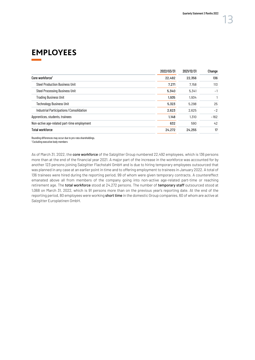### <span id="page-13-0"></span>**EMPLOYEES**

|                                             | 2022/03/31 | 2021/12/31 | Change |
|---------------------------------------------|------------|------------|--------|
| Core workforce <sup>1</sup>                 | 22,492     | 22,356     | 136    |
| <b>Steel Production Business Unit</b>       | 7.271      | 7,158      | 113    |
| <b>Steel Processing Business Unit</b>       | 5,340      | 5,341      | $-1$   |
| Trading Business Unit                       | 1,935      | 1,934      |        |
| <b>Technology Business Unit</b>             | 5,323      | 5,298      | 25     |
| Industrial Participations/Consolidation     | 2,623      | 2,625      | $-2$   |
| Apprentices, students, trainees             | 1,148      | 1,310      | $-162$ |
| Non-active age-related part-time employment | 632        | 590        | 42     |
| <b>Total workforce</b>                      | 24,272     | 24,255     | 17     |

Rounding differences may occur due to pro-rata shareholdings. 1 Excluding executive body members

As of March 31, 2022, the core workforce of the Salzgitter Group numbered 22,492 employees, which is 136 persons more than at the end of the financial year 2021. A major part of the increase in the workforce was accounted for by another 123 persons joining Salzgitter Flachstahl GmbH and is due to hiring temporary employees outsourced that was planned in any case at an earlier point in time and to offering employment to trainees in January 2022. A total of 136 trainees were hired during the reporting period, 99 of whom were given temporary contracts. A countereffect emanated above all from members of the company going into non-active age-related part-time or reaching retirement age. The total workforce stood at 24,272 persons. The number of temporary staff outsourced stood at 1,068 on March 31, 2022, which is 91 persons more than on the previous year's reporting date. At the end of the reporting period, 80 employees were working short time in the domestic Group companies, 60 of whom are active at Salzgitter Europlatinen GmbH.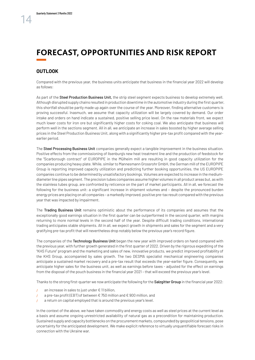## <span id="page-14-0"></span>**FORECAST, OPPORTUNITIES AND RISK REPORT**

#### **OUTLOOK**

Compared with the previous year, the business units anticipate that business in the financial year 2022 will develop as follows:

As part of the Steel Production Business Unit, the strip steel segment expects business to develop extremely well. Although disrupted supply chains resulted in production downtime in the automotive industry during the first quarter, this shortfall should be partly made up again over the course of the year. Moreover, finding alternative customers is proving successful. Inasmuch, we assume that capacity utilization will be largely covered by demand. Our order intake and orders on hand indicate a sustained, positive selling price level. On the raw materials front, we expect much lower costs for iron ore but significantly higher costs for coking coal. We also anticipate that business will perform well in the sections segment. All in all, we anticipate an increase in sales boosted by higher average selling prices in the Steel Production Business Unit, along with a significantly higher pre-tax profit compared with the yearearlier period.

The Steel Processing Business Unit companies generally expect a tangible improvement in the business situation. Positive effects from the commissioning of Ilsenburg's new heat treatment line and the production of feedstock for the "Scarborough contract" of EUROPIPE in the Mülheim mill are resulting in good capacity utilization for the companies producing heavy plate. While, similar to Mannesmann Grossrohr GmbH, the German mill of the EUROPIPE Group is reporting improved capacity utilization and predicting further booking opportunities, the US EUROPIPE companies continue to be determined by unsatisfactory bookings. Volumes are expected to increase in the mediumdiameter line pipes segment. The precision tubes companies assume higher volumes in all product areas but, as with the stainless tubes group, are confronted by reticence on the part of market participants. All in all, we forecast the following for the business unit: a significant increase in shipment volumes and - despite the pronounced burden energy prices are placing on all companies – a markedly improved, positive pre-tax result compared with the previous year that was impacted by impairment.

The Trading Business Unit remains optimistic about the performance of its companies and assumes that the exceptionally good earnings situation in the first quarter can be outperformed in the second quarter, with margins returning to more normal levels in the second half of the year. Despite difficult trading conditions, international trading anticipates stable shipments. All in all, we expect growth in shipments and sales for the segment and a very gratifying pre-tax profit that will nevertheless drop notably below the previous year's record figure.

The companies of the Technology Business Unit began the new year with improved orders on hand compared with the previous year, with further growth generated in the first quarter of 2022. Driven by the rigorous expediting of the "KHS Future" program and the marketing and sales of new, innovative products, we predict improved profitability of the KHS Group, accompanied by sales growth. The two DESMA specialist mechanical engineering companies anticipate a sustained market recovery and a pre-tax result that exceeds the year-earlier figure. Consequently, we anticipate higher sales for the business unit, as well as earnings before taxes - adjusted for the effect on earnings from the disposal of the pouch business in the financial year 2021 – that will exceed the previous year's level.

Thanks to the strong first-quarter we now anticipate the following for the Salzgitter Group in the financial year 2022:

- an increase in sales to just under  $\epsilon$  11 billion,
- $\mu$  a pre-tax profit (EBT) of between € 750 million and € 900 million, and
- / a return on capital employed that is around the previous year's level.

In the context of the above, we have taken commodity and energy costs as well as steel prices at the current level as a basis and assume ongoing unrestricted availability of natural gas as a precondition for maintaining production. Sustained supply and capacity bottlenecks on the procurement markets, compounded by geopolitical tensions, pose uncertainty for the anticipated development. We make explicit reference to virtually unquantifiable forecast risks in connection with the Ukraine war.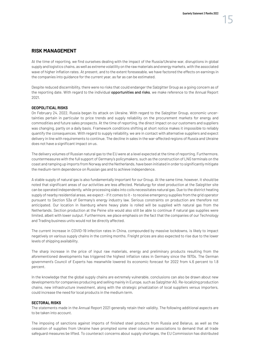#### **RISK MANAGEMENT**

At the time of reporting, we find ourselves dealing with the impact of the Russia/Ukraine war, disruptions in global supply and logistics chains, as well as extreme volatility on the raw materials and energy markets, with the associated wave of higher inflation rates. At present, and to the extent foreseeable, we have factored the effects on earnings in the companies into guidance for the current year, as far as can be estimated.

Despite reduced discernibility, there were no risks that could endanger the Salzgitter Group as a going concern as of the reporting date. With regard to the individual **opportunities and risks**, we make reference to the Annual Report 2021.

#### GEOPOLITICAL RISKS

On February 24, 2022, Russia began its attack on Ukraine. With regard to the Salzgitter Group, economic uncertainties pertain in particular to price trends and supply reliability on the procurement markets for energy and commodities and future sales prospects. At the time of reporting, the direct impact on our customers and suppliers was changing, partly on a daily basis. Framework conditions shifting at short notice makes it impossible to reliably quantify the consequences. With regard to supply reliability, we are in contact with alternative suppliers and expect delivery in line with requirements to continue. The decline in sales in the war-affected regions of Russia and Ukraine does not have a significant impact on us.

The delivery volumes of Russian natural gas to the EU were at a level expected at the time of reporting. Furthermore, countermeasures with the full support of Germany's policymakers, such as the construction of LNG terminals on the coast and ramping up imports from Norway and the Netherlands, have been initiated in order to significantly mitigate the medium-term dependence on Russian gas and to achieve independence.

A stable supply of natural gas is also fundamentally important for our Group. At the same time, however, it should be noted that significant areas of our activities are less affected. Metallurgy for steel production at the Salzgitter site can be operated independently, while processing slabs into coils necessitates natural gas. Due to the district heating supply of nearby residential areas, we expect – if it comes to it – to receive emergency supplies from the grid operator pursuant to Section 53a of Germany's energy industry law. Serious constraints on production are therefore not anticipated. Our location in Ilsenburg where heavy plate is rolled will be supplied with natural gas from the Netherlands. Section production at the Peine site would also still be able to continue if natural gas supplies were limited, albeit with lower output. Furthermore, we place emphasis on the fact that the companies of our Technology and Trading business units would not be directly affected.

The current increase in COVID-19 infection rates in China, compounded by massive lockdowns, is likely to impact negatively on various supply chains in the coming months. Freight prices are also expected to rise due to the lower levels of shipping availability.

The sharp increase in the price of input raw materials, energy and preliminary products resulting from the aforementioned developments has triggered the highest inflation rates in Germany since the 1970s. The German government's Council of Experts has meanwhile lowered its economic forecast for 2022 from 4.6 percent to 1.8 percent.

In the knowledge that the global supply chains are extremely vulnerable, conclusions can also be drawn about new developments for companies producing and selling mainly in Europe, such as Salzgitter AG. Re-localizing production chains, new infrastructure investment, along with the strategic privatization of local suppliers versus importers, could increase the need for local products in the medium term.

#### SECTORAL RISKS

The statements made in the Annual Report 2021 generally retain their validity. The following additional aspects are to be taken into account.

The imposing of sanctions against imports of finished steel products from Russia and Belarus, as well as the cessation of supplies from Ukraine have prompted some steel consumer associations to demand that all trade safeguard measures be lifted. To counteract concerns about supply shortages, the EU Commission has distributed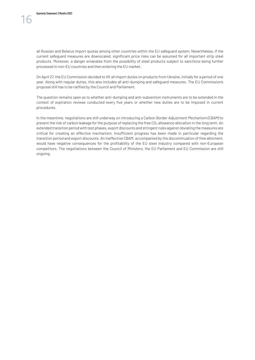On April 27, the EU Commission decided to lift all import duties on products from Ukraine, initially for a period of one year. Along with regular duties, this also includes all anti-dumping and safeguard measures. The EU Commission's proposal still has to be ratified by the Council and Parliament.

The question remains open as to whether anti-dumping and anti-subvention instruments are to be extended in the context of expiration reviews conducted every five years or whether new duties are to be imposed in current procedures.

In the meantime, negotiations are still underway on introducing a Carbon Border Adjustment Mechanism (CBAM) to prevent the risk of carbon leakage for the purpose of replacing the free CO<sub>2</sub> allowance allocation in the long term. An extended transition period with test phases, export discounts and stringent rules against obviating the measures are critical for creating an effective mechanism. Insufficient progress has been made in particular regarding the transition period and export discounts. An ineffective CBAM, accompanied by the discontinuation of free allotment, would have negative consequences for the profitability of the EU steel industry compared with non-European competitors. The negotiations between the Council of Ministers, the EU Parliament and EU Commission are still ongoing.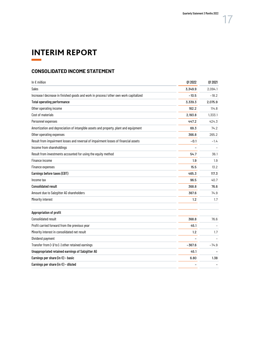# <span id="page-17-0"></span>**INTERIM REPORT**

#### **CONSOLIDATED INCOME STATEMENT**

| In $\epsilon$ million                                                                  | 01 20 22 | 01 20 21 |
|----------------------------------------------------------------------------------------|----------|----------|
| <b>Sales</b>                                                                           | 3,349.9  | 2,094.1  |
| Increase / decrease in finished goods and work in process / other own work capitalized | $-10.5$  | $-18.2$  |
| <b>Total operating performance</b>                                                     | 3,339.3  | 2,075.9  |
| Other operating income                                                                 | 162.2    | 114.8    |
| Cost of materials                                                                      | 2,193.8  | 1,333.1  |
| Personnel expenses                                                                     | 447.2    | 424.3    |
| Amortization and depreciation of intangible assets and property, plant and equipment   | 69.3     | 74.2     |
| Other operating expenses                                                               | 366.8    | 265.2    |
| Result from impairment losses and reversal of impairment losses of financial assets    | $-0.1$   | $-1.4$   |
| Income from shareholdings                                                              |          |          |
| Result from investments accounted for using the equity method                          | 54.7     | 36.1     |
| Finance income                                                                         | 1.9      | 1.9      |
| Finance expenses                                                                       | 15.5     | 13.2     |
| Earnings before taxes (EBT)                                                            | 465.3    | 117.3    |
| Income tax                                                                             | 96.5     | 40.7     |
| <b>Consolidated result</b>                                                             | 368.8    | 76.6     |
| Amount due to Salzgitter AG shareholders                                               | 367.6    | 74.9     |
| Minority interest                                                                      | 1.2      | 1.7      |
| Appropriation of profit                                                                |          |          |
| <b>Consolidated result</b>                                                             | 368.8    | 76.6     |
| Profit carried forward from the previous year                                          | 45.1     |          |
| Minority interest in consolidated net result                                           | 1.2      | 1.7      |
| Dividend payment                                                                       |          |          |
| Transfer from $(+)/$ to $(-)$ other retained earnings                                  | $-367.6$ | $-74.9$  |
| Unappropriated retained earnings of Salzgitter AG                                      | 45.1     |          |
| Earnings per share (in $\epsilon$ ) - basic                                            | 6.80     | 1.38     |
| Earnings per share (in $E$ ) - diluted                                                 |          |          |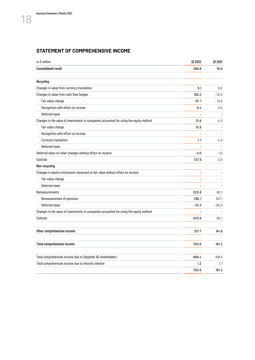#### **STATEMENT OF COMPREHENSIVE INCOME**

| In $\epsilon$ million                                                                  | 012022  | 01 20 21 |
|----------------------------------------------------------------------------------------|---------|----------|
| <b>Consolidated result</b>                                                             | 368.8   | 76.6     |
| Recycling                                                                              |         |          |
| Changes in value from currency translation                                             | 9.1     | 9.2      |
| Changes in value from cash flow hedges                                                 | 106.2   | $-10.0$  |
| Fair value change                                                                      | 97.7    | $-13.6$  |
| Recognition with effect on income                                                      | 8.4     | 3.5      |
| Deferred taxes                                                                         |         |          |
| Changes in the value of investments in companies accounted for using the equity method | 12.6    | 4.3      |
| Fair value change                                                                      | 10.9    |          |
| Recognition with effect on income                                                      |         |          |
| <b>Currency translation</b>                                                            | 1.7     | 4.3      |
| Deferred taxes                                                                         |         |          |
| Deferred taxes on other changes without effect on income                               | 0.0     | $-1.0$   |
| Subtotal                                                                               | 127.9   | 2.5      |
| Non-recycling                                                                          |         |          |
| Changes in equity instruments measured at fair value without effect on income          |         |          |
| Fair value change                                                                      |         |          |
| Deferred taxes                                                                         |         |          |
| <b>Remeasurements</b>                                                                  | 203.8   | 82.1     |
| Remeasurement of pensions                                                              | 265.1   | 107.1    |
| Deferred taxes                                                                         | $-61.3$ | $-25.0$  |
| Changes in the value of investments in companies accounted for using the equity method |         |          |
| Subtotal                                                                               | 203.8   | 82.1     |
| Other comprehensive income                                                             | 331.7   | 84.6     |
|                                                                                        |         |          |
| Total comprehensive income                                                             | 700.6   | 161.2    |
| Total comprehensive income due to Salzgitter AG shareholders                           | 699.4   | 159.5    |
| Total comprehensive income due to minority interest                                    | 1.2     | 1.7      |
|                                                                                        | 700.6   | 161.2    |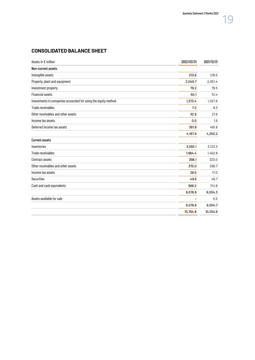### **CONSOLIDATED BALANCE SHEET**

| Assets in € million                                            | 2022/03/31 | 2021/12/31 |
|----------------------------------------------------------------|------------|------------|
| Non-current assets                                             |            |            |
| Intangible assets                                              | 213.6      | 216.5      |
| Property, plant and equipment                                  | 2,049.7    | 2,051.4    |
| Investment property                                            | 79.2       | 79.5       |
| <b>Financial assets</b>                                        | 50.1       | 51.4       |
| Investments in companies accounted for using the equity method | 1,373.4    | 1,327.8    |
| Trade receivables                                              | 7.2        | 8.3        |
| Other receivables and other assets                             | 32.9       | 21.6       |
| Income tax assets                                              | 0.0        | 1.9        |
| Deferred income tax assets                                     | 381.8      | 491.8      |
|                                                                | 4,187.9    | 4,250.2    |
| <b>Current assets</b>                                          |            |            |
| Inventories                                                    | 3,093.1    | 3,123.3    |
| Trade receivables                                              | 1,964.4    | 1,452.8    |
| Contract assets                                                | 398.1      | 323.0      |
| Other receivables and other assets                             | 375.0      | 296.7      |
| Income tax assets                                              | 28.5       | 17.0       |
| <b>Securities</b>                                              | 49.6       | 49.7       |
| Cash and cash equivalents                                      | 668.2      | 741.8      |
|                                                                | 6,576.9    | 6,004.3    |
| Assets available for sale                                      |            | 0.5        |
|                                                                | 6,576.9    | 6,004.7    |
|                                                                | 10,764.8   | 10,254.9   |
|                                                                |            |            |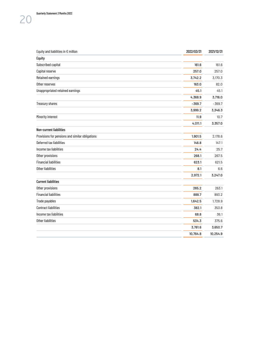| Equity and liabilities in $\epsilon$ million    | 2022/03/31 | 2021/12/31 |
|-------------------------------------------------|------------|------------|
| <b>Equity</b>                                   |            |            |
| Subscribed capital                              | 161.6      | 161.6      |
| Capital reserve                                 | 257.0      | 257.0      |
| Retained earnings                               | 3,742.2    | 3,170.3    |
| Other reserves                                  | 163.0      | 82.0       |
| Unappropriated retained earnings                | 45.1       | 45.1       |
|                                                 | 4,368.9    | 3,716.0    |
| Treasury shares                                 | $-369.7$   | $-369.7$   |
|                                                 | 3,999.2    | 3,346.3    |
| Minority interest                               | 11.9       | 10.7       |
|                                                 | 4,011.1    | 3,357.0    |
| Non-current liabilities                         |            |            |
| Provisions for pensions and similar obligations | 1,901.5    | 2,178.6    |
| Deferred tax liabilities                        | 146.8      | 147.1      |
| Income tax liabilities                          | 24.4       | 25.7       |
| Other provisions                                | 268.1      | 267.5      |
| <b>Financial liabilities</b>                    | 623.1      | 621.5      |
| Other liabilities                               | 8.1        | 6.6        |
|                                                 | 2,972.1    | 3,247.0    |
| <b>Current liabilities</b>                      |            |            |
| Other provisions                                | 265.2      | 263.1      |
| <b>Financial liabilities</b>                    | 888.7      | 893.2      |
| Trade payables                                  | 1,642.5    | 1,728.9    |
| <b>Contract liabilities</b>                     | 382.1      | 353.8      |
| Income tax liabilities                          | 68.8       | 36.1       |
| Other liabilities                               | 534.3      | 375.6      |
|                                                 | 3,781.6    | 3,650.7    |
|                                                 | 10,764.8   | 10,254.9   |
|                                                 |            |            |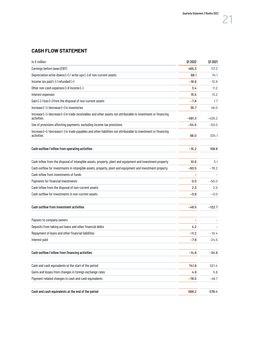### **CASH FLOW STATEMENT**

| In $\epsilon$ million                                                                                                         | 012022  | 01 20 21 |
|-------------------------------------------------------------------------------------------------------------------------------|---------|----------|
| Earnings before taxes (EBT)                                                                                                   | 465.3   | 117.3    |
| Depreciation write-downs (+) / write-ups (-) of non-current assets                                                            | 69.1    | 74.1     |
| Income tax paid (-) / refunded (+)                                                                                            | $-16.6$ | $-12.6$  |
| Other non-cash expenses (+)/ income (-)                                                                                       | 3.4     | 11.2     |
| Interest expenses                                                                                                             | 15.5    | 13.2     |
| Gain (-) / loss (+) from the disposal of non-current assets                                                                   | $-7.8$  | 1.7      |
| Increase $(-)$ / decrease $(+)$ in inventories                                                                                | 35.7    | 46.0     |
| Increase (-) / decrease (+) in trade receivables and other assets not attributable to investment or financing<br>activities   | -591.3  | $-426.2$ |
| Use of provisions affecting payments, excluding income tax provisions                                                         | $-54.5$ | $-50.0$  |
| Increase (+) / decrease (-) in trade payables and other liabilities not attributable to investment or financing<br>activities | 66.0    | 334.1    |
| Cash outflow/inflow from operating activities                                                                                 | $-15.2$ | 108.8    |
| Cash inflow from the disposal of intangible assets, property, plant and equipment and investment property                     | 10.6    | 3.1      |
| Cash outflow for investments in intangible assets, property, plant and equipment and investment property                      | $-60.5$ | $-78.2$  |
| Cash inflow from investments of funds                                                                                         |         |          |
| Payments for financial investments                                                                                            | 0.0     | $-50.0$  |
| Cash inflow from the disposal of non-current assets                                                                           | 2.3     | 2.5      |
| Cash outflow for investments in non-current assets                                                                            | $-0.8$  | -0.0     |
| Cash outflow from investment activities                                                                                       | $-48.5$ | $-122.7$ |
| Payouts to company owners                                                                                                     |         |          |
| Deposits from taking out loans and other financial debts                                                                      | 4.2     |          |
| Repayment of loans and other financial liabilities                                                                            | -11.2   | $-10.4$  |
| Interest paid                                                                                                                 | $-7.8$  | $-24.5$  |
| Cash outflow/inflow from financing activities                                                                                 | $-14.8$ | $-34.9$  |
| Cash and cash equivalents at the start of the period                                                                          | 741.8   | 621.4    |
| Gains and losses from changes in foreign exchange rates                                                                       | 4.9     | 5.8      |
| Payment-related changes in cash and cash equivalents                                                                          | $-78.5$ | $-48.7$  |
| Cash and cash equivalents at the end of the period                                                                            | 668.2   | 578.4    |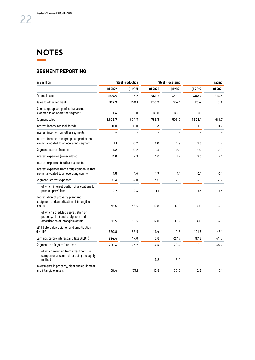#### <span id="page-22-0"></span>**NOTES Contract Contract**

#### **SEGMENT REPORTING**

| In $\epsilon$ million                                                                                        | <b>Steel Production</b> |          | <b>Steel Processing</b>  |          | <b>Trading</b> |          |
|--------------------------------------------------------------------------------------------------------------|-------------------------|----------|--------------------------|----------|----------------|----------|
|                                                                                                              | 01 20 22                | 01 20 21 | 012022                   | 01 20 21 | 01 20 22       | 01 20 21 |
| <b>External sales</b>                                                                                        | 1,204.4                 | 743.2    | 466.7                    | 334.2    | 1,302.7        | 673.3    |
| Sales to other segments                                                                                      | 397.9                   | 250.1    | 250.9                    | 104.1    | 23.4           | 8.4      |
| Sales to group companies that are not<br>allocated to an operating segment                                   | 1.4                     | 1.0      | 65.8                     | 65.6     | 0.0            | 0.0      |
| Segment sales                                                                                                | 1.603.7                 | 994.3    | 783.3                    | 503.9    | 1,326.1        | 681.7    |
| Interest income (consolidated)                                                                               | 0.0                     | 0.0      | 0.3                      | 0.2      | 0.5            | 0.7      |
| Interest income from other segments                                                                          | ÷                       |          | $\overline{\phantom{a}}$ |          | $\overline{a}$ |          |
| Interest income from group companies that<br>are not allocated to an operating segment                       | 1.1                     | 0.2      | 1.0                      | 1.9      | 3.6            | 2.2      |
| Segment interest income                                                                                      | 1.2                     | 0.2      | 1.3                      | 2.1      | 4.0            | 2.9      |
| Interest expenses (consolidated)                                                                             | 3.8                     | 2.9      | 1.8                      | 1.7      | 3.6            | 2.1      |
| Interest expenses to other segments                                                                          |                         | L        |                          |          |                |          |
| Interest expenses from group companies that<br>are not allocated to an operating segment                     | 1.5                     | 1.0      | 1.7                      | 1.1      | 0.1            | 0.1      |
| Segment interest expenses                                                                                    | 5.3                     | 4.0      | 3.5                      | 2.8      | 3.8            | 2.2      |
| of which interest portion of allocations to<br>pension provisions                                            | 2.7                     | 2.3      | 1.1                      | 1.0      | 0.3            | 0.3      |
| Depreciation of property, plant and<br>equipment and amortization of intangible<br>assets                    | 36.5                    | 36.5     | 12.8                     | 17.9     | 4.0            | 4.1      |
| of which scheduled depreciation of<br>property, plant and equipment and<br>amortization of intangible assets | 36.5                    | 36.5     | 12.8                     | 17.9     | 4.0            | 4.1      |
| EBIT before depreciation and amortization<br>(EBITDA)                                                        | 330.8                   | 83.5     | 19.4                     | $-9.8$   | 101.8          | 48.1     |
| Earnings before interest and taxes (EBIT)                                                                    | 294.4                   | 47.0     | 6.6                      | $-27.7$  | 97.8           | 44.0     |
| Segment earnings before taxes                                                                                | 290.3                   | 43.2     | 4.4                      | $-28.4$  | 98.1           | 44.7     |
| of which resulting from investments in<br>companies accounted for using the equity<br>method                 |                         |          | $-7.2$                   | $-6.4$   |                |          |
| Investments in property, plant and equipment<br>and intangible assets                                        | 30.4                    | 33.1     | 13.8                     | 33.0     | 2.8            | 3.1      |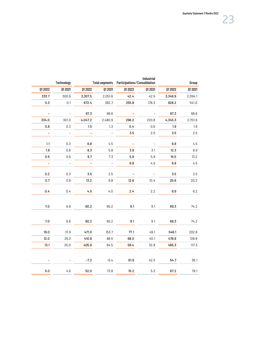|         | Technology               |                |                   | Total segments  Participations / Consolidation | Industrial               | Group    |          |
|---------|--------------------------|----------------|-------------------|------------------------------------------------|--------------------------|----------|----------|
| 012022  | 01 2021                  | 01 20 22       | 01 20 21          | 01 20 22                                       | 01 20 21                 | 01 20 22 | 01 20 21 |
| 333.7   | 300.9                    | 3,307.5        | 2,051.6           | 42.4                                           | 42.5                     | 3,349.9  | 2,094.1  |
| 0.3     | 0.1                      | 672.4          | 362.7             | 255.8                                          | 178.3                    | 928.2    | 541.0    |
|         |                          | 67.3           | 66.6              |                                                |                          | 67.3     | 66.6     |
| 334.0   | 301.0                    | 4,047.2        | 2,480.9           | 298.2                                          | 220.8                    | 4,345.3  | 2,701.6  |
| 0.8     | 0.3                      | 1.5            | 1.3               | 0.4                                            | 0.6                      | 1.9      | 1.9      |
|         | $\overline{\phantom{a}}$ | $\overline{a}$ | $\overline{a}$    | 3.5                                            | $2.5\,$                  | 3.5      | 2.5      |
| 1.1     | 0.3                      | 6.8            | 4.5               |                                                | $\overline{\phantom{a}}$ | 6.8      | 4.5      |
| 1.9     | 0.6                      | 8.3            | 5.8               | 3.9                                            | 3.1                      | 12.3     | $\,8.9$  |
| 0.5     | 0.6                      | 9.7            | 7.3               | 5.8                                            | 5.9                      | 15.5     | 13.2     |
|         | $\overline{a}$           | $\overline{a}$ | $\qquad \qquad -$ | 6.8                                            | 4.5                      | $6.8\,$  | 4.5      |
| $0.2\,$ | 0.3                      | 3.5            | 2.5               |                                                | L,                       | 3.5      | $2.5\,$  |
| 0.7     | $0.8\,$                  | 13.2           | 9.8               | 12.6                                           | 10.4                     | 25.8     | 20.2     |
| 0.4     | 0.4                      | 4.5            | 4.0               | 2.4                                            | 2.2                      | 6.9      | $6.2\,$  |
| $7.0\,$ | $6.6\,$                  | 60.2           | 65.2              | 9.1                                            | 9.1                      | 69.3     | 74.2     |
| $7.0\,$ | 6.6                      | 60.2           | 65.2              | 9.1                                            | 9.1                      | 69.3     | 74.2     |
| 19.0    | 31.9                     | 471.0          | 153.7             | 77.1                                           | 49.1                     | 548.1    | 202.8    |
| 12.0    | 25.3                     | 410.8          | 88.5              | 68.0                                           | 40.1                     | 478.8    | 128.6    |
| 13.1    | 25.0                     | 405.9          | 84.5              | 59.4                                           | 32.8                     | 465.3    | 117.3    |
|         |                          | $-7.2$         | $-6.4$            | 61.9                                           | 42.5                     | 54.7     | 36.1     |
| 5.0     | 4.6                      | 52.0           | 73.8              | 15.2                                           | 5.3                      | 67.2     | 79.1     |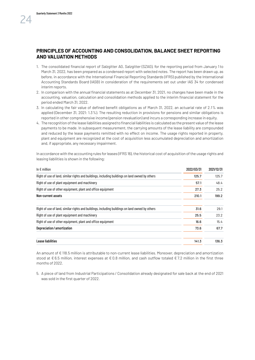#### **PRINCIPLES OF ACCOUNTING AND CONSOLIDATION, BALANCE SHEET REPORTING AND VALUATION METHODS**

- 1. The consolidated financial report of Salzgitter AG, Salzgitter (SZAG), for the reporting period from January 1 to March 31, 2022, has been prepared as a condensed report with selected notes. The report has been drawn up, as before, in accordance with the International Financial Reporting Standards (IFRS) published by the International Accounting Standards Board (IASB) in consideration of the requirements set out under IAS 34 for condensed interim reports.
- 2. In comparison with the annual financial statements as at December 31, 2021, no changes have been made in the accounting, valuation, calculation and consolidation methods applied to the interim financial statement for the period ended March 31, 2022.
- 3. In calculating the fair value of defined benefit obligations as of March 31, 2022, an actuarial rate of 2.1% was applied (December 31, 2021: 1.3%). The resulting reduction in provisions for pensions and similar obligations is reported in other comprehensive income (pension revaluation) and incurs a corresponding increase in equity.
- 4. The recognition of the lease liabilities assigned to financial liabilities is calculated as the present value of the lease payments to be made. In subsequent measurement, the carrying amounts of the lease liability are compounded and reduced by the lease payments remitted with no effect on income. The usage rights reported in property, plant and equipment are recognized at the cost of acquisition less accumulated depreciation and amortization and, if appropriate, any necessary impairment.

In accordance with the accounting rules for leases (IFRS 16), the historical cost of acquisition of the usage rights and leasing liabilities is shown in the following:

| In $\epsilon$ million                                                                           | 2022/03/31 | 2021/12/31 |
|-------------------------------------------------------------------------------------------------|------------|------------|
| Right of use of land, similar rights and buildings, including buildings on land owned by others | 125.7      | 125.7      |
| Right of use of plant equipment and machinery                                                   | 57.1       | 48.4       |
| Right of use of other equipment, plant and office equipment                                     | 27.3       | 25.2       |
| Non-current assets                                                                              | 210.1      | 199.2      |
| Right of use of land, similar rights and buildings, including buildings on land owned by others | 31.6       | 29.1       |
| Right of use of plant equipment and machinery                                                   | 25.5       | 23.2       |
| Right of use of other equipment, plant and office equipment                                     | 16.6       | 15.4       |
| Depreciation/amortization                                                                       | 73.6       | 67.7       |
| Lease liabilities                                                                               | 141.3      | 136.3      |

An amount of € 118.5 million is attributable to non-current lease liabilities. Moreover, depreciation and amortization stood at €6.5 million, interest expenses at €0.8 million, and cash outflow totaled €7.2 million in the first three months of 2022.

5. A piece of land from Industrial Participations / Consolidation already designated for sale back at the end of 2021 was sold in the first quarter of 2022.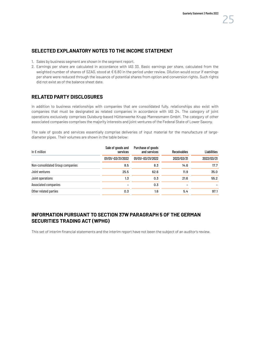#### **SELECTED EXPLANATORY NOTES TO THE INCOME STATEMENT**

- 1. Sales by business segment are shown in the segment report.
- 2. Earnings per share are calculated in accordance with IAS 33. Basic earnings per share, calculated from the weighted number of shares of SZAG, stood at €6.80 in the period under review. Dilution would occur if earnings per share were reduced through the issuance of potential shares from option and conversion rights. Such rights did not exist as of the balance sheet date.

#### **RELATED PARTY DISCLOSURES**

In addition to business relationships with companies that are consolidated fully, relationships also exist with companies that must be designated as related companies in accordance with IAS 24. The category of joint operations exclusively comprises Duisburg-based Hüttenwerke Krupp Mannesmann GmbH. The category of other associated companies comprises the majority interests and joint ventures of the Federal State of Lower Saxony.

The sale of goods and services essentially comprise deliveries of input material for the manufacture of largediameter pipes. Their volumes are shown in the table below:

| In $\epsilon$ million            | Sale of goods and<br>services | Purchase of goods<br>and services | <b>Receivables</b> | <b>Liabilities</b> |
|----------------------------------|-------------------------------|-----------------------------------|--------------------|--------------------|
|                                  | 01/01/-03/31/2022             | 01/01/-03/31/2022                 | 2022/03/31         | 2022/03/31         |
| Non-consolidated Group companies | 8.5                           | 8.3                               | 14.6               | 17.7               |
| Joint ventures                   | 25.5                          | 62.6                              | 11.9               | 35.0               |
| Joint operations                 | 1.3                           | 0.3                               | 21.6               | 55.2               |
| Associated companies             |                               | 0.3                               |                    |                    |
| Other related parties            | 0.3                           | 1.6                               | 5.4                | 97.1               |

#### **INFORMATION PURSUANT TO SECTION 37W PARAGRAPH 5 OF THE GERMAN SECURITIES TRADING ACT (WPHG)**

This set of interim financial statements and the interim report have not been the subject of an auditor's review.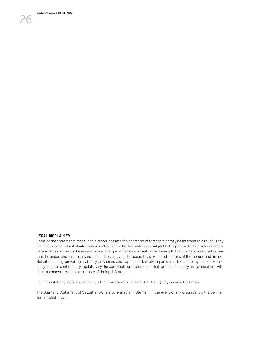**LEGAL DISCLAIMER** 

Some of the statements made in this report possess the character of forecasts or may be interpreted as such. They are made upon the best of information and belief and by their nature are subject to the proviso that no unforeseeable deterioration occurs in the economy or in the specific market situation pertaining to the business units, but rather that the underlying bases of plans and outlooks prove to be accurate as expected in terms of their scope and timing. Notwithstanding prevailing statutory provisions and capital market law in particular, the company undertakes no obligation to continuously update any forward-looking statements that are made solely in connection with circumstances prevailing on the day of their publication.

For computational reasons, rounding-off difference of +/- one unit ( $\epsilon$ , % etc.) may occur in the tables.

The Quarterly Statement of Salzgitter AG is also available in German. In the event of any discrepancy, the German version shall prevail.